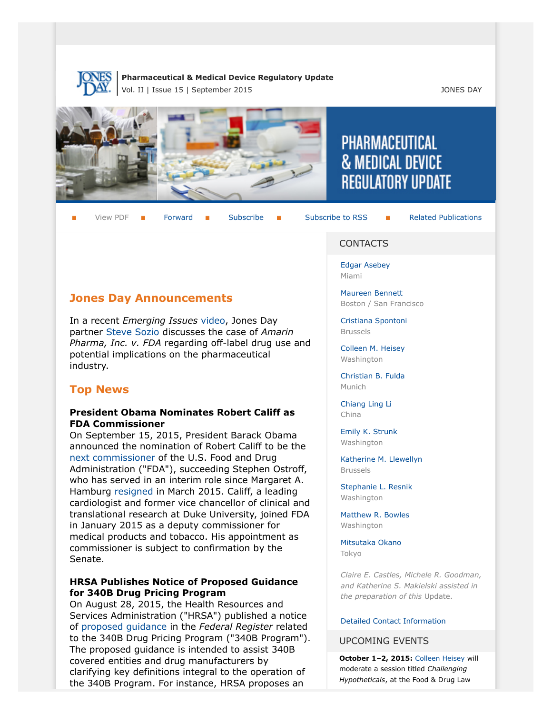

#### **Pharmaceutical & Medical Device Regulatory Update** Vol. II | Issue 15 | September 2015 JONES DAY



View PDF  $\blacksquare$  [Forward](http://thewritestuff.jonesday.com/cff/7fcd73bdd3f2027a1c60258f68929dbceea843d5/)  $\blacksquare$  [Subscribe](http://www.jonesday.com/newsknowledge/publications.aspx)  $\blacksquare$  [Subscribe to RSS](http://www.jonesday.com/newsknowledge/rss.aspx)  $\blacksquare$  [Related Publications](http://www.jonesday.com/experiencepractices/servicedetail.aspx?serviceid=593cb647-a5c4-49c3-9086-fedc34b24e1d§ion=Publications)

# [Edgar Asebey](http://www.jonesday.com/easebey)

Miami

CONTACTS

[Maureen Bennett](http://www.jonesday.com/mbennett) Boston / San Francisco

**PHARMACEUTICAL** 

**& MEDICAL DEVICE** 

**REGULATORY UPDATE** 

[Cristiana Spontoni](http://www.jonesday.com/cspontoni) Brussels

[Colleen M. Heisey](http://www.jonesday.com/cmheisey) Washington

[Christian B. Fulda](http://www.jonesday.com/cfulda) Munich

[Chiang Ling Li](http://www.jonesday.com/chianglingli) China

[Emily K. Strunk](http://www.jonesday.com/estrunk) Washington

[Katherine M. Llewellyn](http://www.jonesday.com/kllewellyn) Brussels

[Stephanie L. Resnik](http://www.jonesday.com/sresnik) Washington

[Matthew R. Bowles](http://www.jonesday.com/mbowles) Washington

[Mitsutaka Okano](http://www.jonesday.com/mokano) Tokyo

*Claire E. Castles, Michele R. Goodman, and Katherine S. Makielski assisted in the preparation of this* Update.

#### [Detailed Contact Information](#page-6-0)

#### UPCOMING EVENTS

**October 1–2, 2015:** [Colleen Heisey](http://www.jonesday.com/cmheisey/) will moderate a session titled *Challenging Hypotheticals*, at the Food & Drug Law

# **Jones Day Announcements**

In a recent *Emerging Issues* [video,](http://www.jonesday.com/amarin-and-off-label-drug-use-what-it-means-for-the-pharmaceutical-industry-09-11-2015/) Jones Day partner [Steve Sozio](http://www.jonesday.com/sgsozio/) discusses the case of *Amarin Pharma, Inc. v. FDA* regarding off-label drug use and potential implications on the pharmaceutical industry.

## **Top News**

## **President Obama Nominates Robert Califf as FDA Commissioner**

On September 15, 2015, President Barack Obama announced the nomination of Robert Califf to be the [next commissioner](http://www.usnews.com/news/business/articles/2015/09/15/obama-to-nominate-fdas-no-2-official-to-lead-agency) of the U.S. Food and Drug Administration ("FDA"), succeeding Stephen Ostroff, who has served in an interim role since Margaret A. Hamburg [resigned](http://www.fda.gov/AboutFDA/CommissionersPage/ucm433094.htm) in March 2015. Califf, a leading cardiologist and former vice chancellor of clinical and translational research at Duke University, joined FDA in January 2015 as a deputy commissioner for medical products and tobacco. His appointment as commissioner is subject to confirmation by the Senate.

#### **HRSA Publishes Notice of Proposed Guidance for 340B Drug Pricing Program**

On August 28, 2015, the Health Resources and Services Administration ("HRSA") published a notice of [proposed guidance](http://www.gpo.gov/fdsys/pkg/FR-2015-08-28/pdf/2015-21246.pdf) in the *Federal Register* related to the 340B Drug Pricing Program ("340B Program"). The proposed guidance is intended to assist 340B covered entities and drug manufacturers by clarifying key definitions integral to the operation of the 340B Program. For instance, HRSA proposes an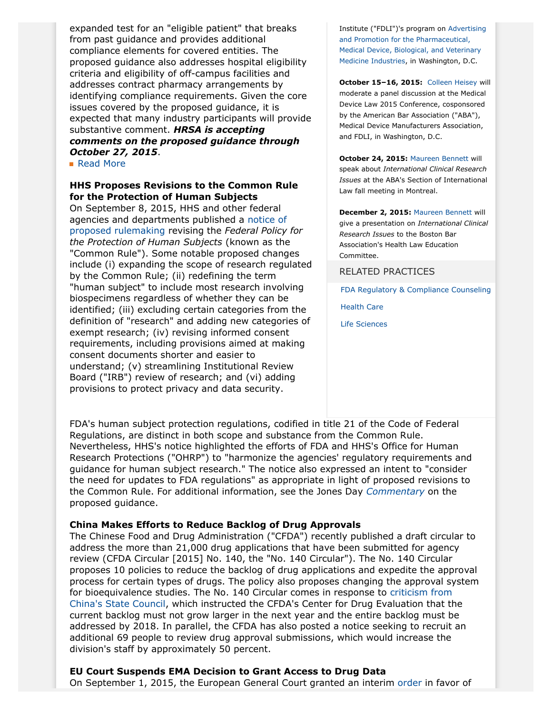expanded test for an "eligible patient" that breaks from past guidance and provides additional compliance elements for covered entities. The proposed guidance also addresses hospital eligibility criteria and eligibility of off-campus facilities and addresses contract pharmacy arrangements by identifying compliance requirements. Given the core issues covered by the proposed guidance, it is expected that many industry participants will provide substantive comment. *HRSA is accepting comments on the proposed guidance through October 27, 2015*.

■ [Read More](http://thewritestuff.jonesday.com/cv/7fcd73bdd3f2027a1c60258f68929dbceea843d5/p=9202936)

#### **HHS Proposes Revisions to the Common Rule for the Protection of Human Subjects**

On September 8, 2015, HHS and other federal agencies and departments published a [notice of](http://www.gpo.gov/fdsys/pkg/FR-2015-09-08/pdf/2015-21756.pdf) [proposed rulemaking](http://www.gpo.gov/fdsys/pkg/FR-2015-09-08/pdf/2015-21756.pdf) revising the *Federal Policy for the Protection of Human Subjects* (known as the "Common Rule"). Some notable proposed changes include (i) expanding the scope of research regulated by the Common Rule; (ii) redefining the term "human subject" to include most research involving biospecimens regardless of whether they can be identified; (iii) excluding certain categories from the definition of "research" and adding new categories of exempt research; (iv) revising informed consent requirements, including provisions aimed at making consent documents shorter and easier to understand; (v) streamlining Institutional Review Board ("IRB") review of research; and (vi) adding provisions to protect privacy and data security.

Institute ("FDLI")'s program on [Advertising](http://www.fdli.org/ap2015) [and Promotion for the Pharmaceutical,](http://www.fdli.org/ap2015) [Medical Device, Biological, and Veterinary](http://www.fdli.org/ap2015) [Medicine Industries,](http://www.fdli.org/ap2015) in Washington, D.C.

**October 15–16, 2015:** [Colleen Heisey](http://www.jonesday.com/cmheisey/) will moderate a panel discussion at the Medical Device Law 2015 Conference, cosponsored by the American Bar Association ("ABA"), Medical Device Manufacturers Association, and FDLI, in Washington, D.C.

**October 24, 2015:** [Maureen Bennett](http://www.jonesday.com/mbennett/) will speak about *International Clinical Research Issues* at the ABA's Section of International Law fall meeting in Montreal.

**December 2, 2015:** [Maureen Bennett](http://www.jonesday.com/mbennett/) will give a presentation on *International Clinical Research Issues* to the Boston Bar Association's Health Law Education Committee.

RELATED PRACTICES

[FDA Regulatory & Compliance Counseling](http://www.jonesday.com/fdaregulatoryandcompliancecounseling/)

[Health Care](http://www.jonesday.com/Health-Care-Practices)

[Life Sciences](http://www.jonesday.com/lifesciences/)

FDA's human subject protection regulations, codified in title 21 of the Code of Federal Regulations, are distinct in both scope and substance from the Common Rule. Nevertheless, HHS's notice highlighted the efforts of FDA and HHS's Office for Human Research Protections ("OHRP") to "harmonize the agencies' regulatory requirements and guidance for human subject research." The notice also expressed an intent to "consider the need for updates to FDA regulations" as appropriate in light of proposed revisions to the Common Rule. For additional information, see the Jones Day *[Commentary](http://www.jonesday.com/hhs-proposes-revisions-to-the-common-rule-for-protection-of-human-research-subjects-09-09-2015/)* on the proposed guidance.

#### **China Makes Efforts to Reduce Backlog of Drug Approvals**

The Chinese Food and Drug Administration ("CFDA") recently published a draft circular to address the more than 21,000 drug applications that have been submitted for agency review (CFDA Circular [2015] No. 140, the "No. 140 Circular"). The No. 140 Circular proposes 10 policies to reduce the backlog of drug applications and expedite the approval process for certain types of drugs. The policy also proposes changing the approval system for bioequivalence studies. The No. 140 Circular comes in response to [criticism from](http://eng.cfda.gov.cn/WS03/CL0757/127120.html) [China's State Council,](http://eng.cfda.gov.cn/WS03/CL0757/127120.html) which instructed the CFDA's Center for Drug Evaluation that the current backlog must not grow larger in the next year and the entire backlog must be addressed by 2018. In parallel, the CFDA has also posted a notice seeking to recruit an additional 69 people to review drug approval submissions, which would increase the division's staff by approximately 50 percent.

### **EU Court Suspends EMA Decision to Grant Access to Drug Data**

On September 1, 2015, the European General Court granted an interim [order](http://curia.europa.eu/juris/document/document_print.jsf?doclang=EN&text=&pageIndex=0&part=1&mode=DOC&docid=166882&occ=first&dir=&cid=588022) in favor of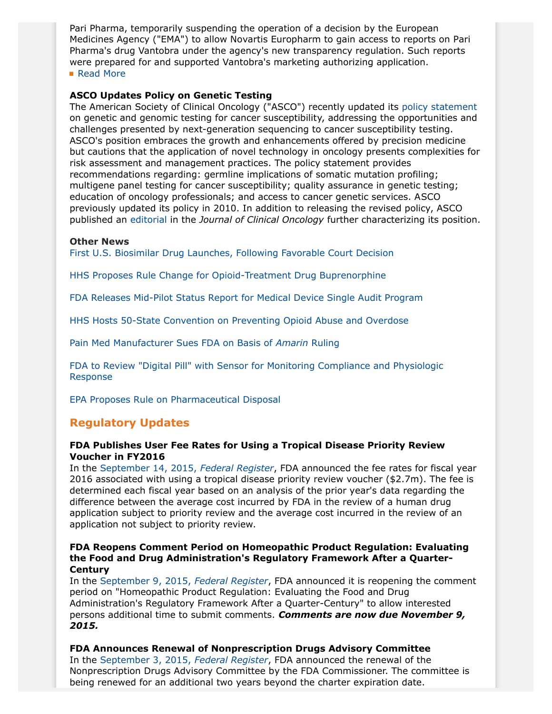Pari Pharma, temporarily suspending the operation of a decision by the European Medicines Agency ("EMA") to allow Novartis Europharm to gain access to reports on Pari Pharma's drug Vantobra under the agency's new transparency regulation. Such reports were prepared for and supported Vantobra's marketing authorizing application. ■ [Read More](http://thewritestuff.jonesday.com/cv/7fcd73bdd3f2027a1c60258f68929dbceea843d5/p=3194046)

### **ASCO Updates Policy on Genetic Testing**

The American Society of Clinical Oncology ("ASCO") recently updated its [policy statement](http://jco.ascopubs.org/content/early/2015/08/31/JCO.2015.63.0996.full.pdf+html) on genetic and genomic testing for cancer susceptibility, addressing the opportunities and challenges presented by next-generation sequencing to cancer susceptibility testing. ASCO's position embraces the growth and enhancements offered by precision medicine but cautions that the application of novel technology in oncology presents complexities for risk assessment and management practices. The policy statement provides recommendations regarding: germline implications of somatic mutation profiling; multigene panel testing for cancer susceptibility; quality assurance in genetic testing; education of oncology professionals; and access to cancer genetic services. ASCO previously updated its policy in 2010. In addition to releasing the revised policy, ASCO published an [editorial](http://jco.ascopubs.org/content/early/2015/08/31/JCO.2015.63.3628.full) in the *Journal of Clinical Oncology* further characterizing its position.

#### **Other News**

[First U.S. Biosimilar Drug Launches, Following Favorable Court Decision](http://www.reuters.com/article/2015/09/03/us-novartis-drug-idUSKCN0R30C220150903)

[HHS Proposes Rule Change for Opioid-Treatment Drug Buprenorphine](http://www.usatoday.com/story/news/2015/09/17/hhs-change-rules-opioid-treatment-drug/32548399/)

[FDA Releases Mid-Pilot Status Report for Medical Device Single Audit Program](http://www.fda.gov/downloads/MedicalDevices/InternationalPrograms/MDSAPPilot/UCM461661.pdf?source=govdelivery&utm_medium=email&utm_source=govdelivery)

[HHS Hosts 50-State Convention on Preventing Opioid Abuse and Overdose](http://www.hhs.gov/news/press/2015pres/09/20150917a.html)

[Pain Med Manufacturer Sues FDA on Basis of](http://www.reuters.com/article/2015/09/09/us-pacirapharma-fda-lawsuit-idUSKCN0R82PI20150909) *Amarin* Ruling

[FDA to Review "Digital Pill" with Sensor for Monitoring Compliance and Physiologic](http://www.forbes.com/sites/robertglatter/2015/09/14/proteus-digital-health-and-otsuka-seek-fda-approval-for-worlds-first-digital-medicine/) [Response](http://www.forbes.com/sites/robertglatter/2015/09/14/proteus-digital-health-and-otsuka-seek-fda-approval-for-worlds-first-digital-medicine/)

[EPA Proposes Rule on Pharmaceutical Disposal](http://www2.epa.gov/hwgenerators/proposed-rule-management-standards-hazardous-waste-pharmaceuticals)

# **Regulatory Updates**

#### **FDA Publishes User Fee Rates for Using a Tropical Disease Priority Review Voucher in FY2016**

In the [September 14, 2015,](http://www.gpo.gov/fdsys/pkg/FR-2015-09-14/pdf/2015-23006.pdf) *Federal Register*, FDA announced the fee rates for fiscal year 2016 associated with using a tropical disease priority review voucher (\$2.7m). The fee is determined each fiscal year based on an analysis of the prior year's data regarding the difference between the average cost incurred by FDA in the review of a human drug application subject to priority review and the average cost incurred in the review of an application not subject to priority review.

### **FDA Reopens Comment Period on Homeopathic Product Regulation: Evaluating the Food and Drug Administration's Regulatory Framework After a Quarter-Century**

In the [September 9, 2015,](http://www.gpo.gov/fdsys/pkg/FR-2015-09-09/pdf/2015-22682.pdf) *Federal Register*, FDA announced it is reopening the comment period on "Homeopathic Product Regulation: Evaluating the Food and Drug Administration's Regulatory Framework After a Quarter-Century" to allow interested persons additional time to submit comments. *Comments are now due November 9, 2015.*

#### **FDA Announces Renewal of Nonprescription Drugs Advisory Committee**

In the [September 3, 2015,](http://www.gpo.gov/fdsys/pkg/FR-2015-09-03/pdf/2015-21874.pdf) *Federal Register*, FDA announced the renewal of the Nonprescription Drugs Advisory Committee by the FDA Commissioner. The committee is being renewed for an additional two years beyond the charter expiration date.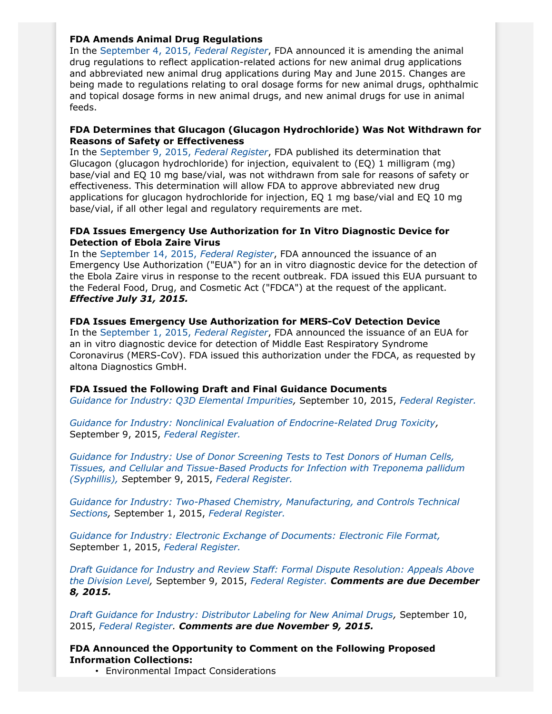### **FDA Amends Animal Drug Regulations**

In the [September 4, 2015,](http://www.gpo.gov/fdsys/pkg/FR-2015-09-04/pdf/2015-21905.pdf) *Federal Register*, FDA announced it is amending the animal drug regulations to reflect application-related actions for new animal drug applications and abbreviated new animal drug applications during May and June 2015. Changes are being made to regulations relating to oral dosage forms for new animal drugs, ophthalmic and topical dosage forms in new animal drugs, and new animal drugs for use in animal feeds.

## **FDA Determines that Glucagon (Glucagon Hydrochloride) Was Not Withdrawn for Reasons of Safety or Effectiveness**

In the [September 9, 2015,](http://www.gpo.gov/fdsys/pkg/FR-2015-09-09/pdf/2015-22673.pdf) *Federal Register*, FDA published its determination that Glucagon (glucagon hydrochloride) for injection, equivalent to (EQ) 1 milligram (mg) base/vial and EQ 10 mg base/vial, was not withdrawn from sale for reasons of safety or effectiveness. This determination will allow FDA to approve abbreviated new drug applications for glucagon hydrochloride for injection, EQ 1 mg base/vial and EQ 10 mg base/vial, if all other legal and regulatory requirements are met.

# **FDA Issues Emergency Use Authorization for In Vitro Diagnostic Device for Detection of Ebola Zaire Virus**

In the [September 14, 2015,](http://www.gpo.gov/fdsys/pkg/FR-2015-09-14/pdf/2015-23003.pdf) *Federal Register*, FDA announced the issuance of an Emergency Use Authorization ("EUA") for an in vitro diagnostic device for the detection of the Ebola Zaire virus in response to the recent outbreak. FDA issued this EUA pursuant to the Federal Food, Drug, and Cosmetic Act ("FDCA") at the request of the applicant. *Effective July 31, 2015.*

### **FDA Issues Emergency Use Authorization for MERS-CoV Detection Device**

In the [September 1, 2015,](http://www.gpo.gov/fdsys/pkg/FR-2015-09-01/pdf/2015-21585.pdf) *Federal Register*, FDA announced the issuance of an EUA for an in vitro diagnostic device for detection of Middle East Respiratory Syndrome Coronavirus (MERS-CoV). FDA issued this authorization under the FDCA, as requested by altona Diagnostics GmbH.

### **FDA Issued the Following Draft and Final Guidance Documents**

*[Guidance for Industry: Q3D Elemental Impurities](http://www.fda.gov/downloads/drugs/guidancecomplianceregulatoryinformation/guidances/ucm371025.pdf),* September 10, 2015, *[Federal Register.](http://www.gpo.gov/fdsys/pkg/FR-2015-09-10/pdf/2015-22835.pdf)*

*[Guidance for Industry: Nonclinical Evaluation of Endocrine-Related Drug Toxicity](http://www.fdanews.com/ext/resources/files/09-15/09-09-15-toxicity.pdf?1441724145),* September 9, 2015, *[Federal Register.](http://www.gpo.gov/fdsys/pkg/FR-2015-09-09/pdf/2015-22683.pdf)*

*[Guidance for Industry: Use of Donor Screening Tests to Test Donors of Human Cells,](http://www.fda.gov/downloads/BiologicsBloodVaccines/GuidanceComplianceRegulatoryInformation/Guidances/Tissue/UCM373311.pdf) [Tissues, and Cellular and Tissue-Based Products for Infection with Treponema pallidum](http://www.fda.gov/downloads/BiologicsBloodVaccines/GuidanceComplianceRegulatoryInformation/Guidances/Tissue/UCM373311.pdf) [\(Syphillis\),](http://www.fda.gov/downloads/BiologicsBloodVaccines/GuidanceComplianceRegulatoryInformation/Guidances/Tissue/UCM373311.pdf) S*eptember 9, 2015, *[Federal Register.](http://www.gpo.gov/fdsys/pkg/FR-2015-09-09/pdf/2015-22677.pdf)*

*[Guidance for Industry: Two-Phased Chemistry, Manufacturing, and Controls Technical](http://www.fda.gov/downloads/AnimalVeterinary/GuidanceComplianceEnforcement/GuidanceforIndustry/UCM419043.pdf) [Sections,](http://www.fda.gov/downloads/AnimalVeterinary/GuidanceComplianceEnforcement/GuidanceforIndustry/UCM419043.pdf)* September 1, 2015, *[Federal Register.](http://www.gpo.gov/fdsys/pkg/FR-2015-09-01/pdf/2015-21583.pdf)*

*[Guidance for Industry: Electronic Exchange of Documents: Electronic File Format,](http://www.fda.gov/downloads/AnimalVeterinary/GuidanceComplianceEnforcement/GuidanceforIndustry/UCM411451.pdf)* September 1, 2015, *[Federal Register.](http://www.gpo.gov/fdsys/pkg/FR-2015-09-01/pdf/2015-21582.pdf)*

*[Draft Guidance for Industry and Review Staff: Formal Dispute Resolution: Appeals Above](http://www.fda.gov/ucm/groups/fdagov-public/@fdagov-drugs-gen/documents/document/ucm343101.pdf) [the Division Level](http://www.fda.gov/ucm/groups/fdagov-public/@fdagov-drugs-gen/documents/document/ucm343101.pdf),* September 9, 2015, *[Federal Register.](http://www.gpo.gov/fdsys/pkg/FR-2015-09-09/pdf/2015-22678.pdf) Comments are due December 8, 2015.*

*[Draft Guidance for Industry: Distributor Labeling for New Animal Drugs](http://www.fda.gov/downloads/AnimalVeterinary/GuidanceComplianceEnforcement/GuidanceforIndustry/UCM461414.pdf),* September 10, 2015, *[Federal Register.](http://www.gpo.gov/fdsys/pkg/FR-2015-09-10/pdf/2015-22772.pdf) Comments are due November 9, 2015.*

**FDA Announced the Opportunity to Comment on the Following Proposed Information Collections:**

• Environmental Impact Considerations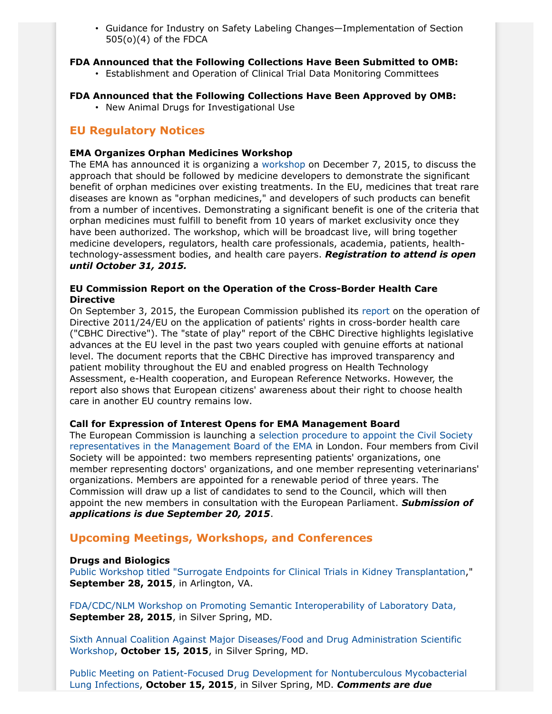• Guidance for Industry on Safety Labeling Changes—Implementation of Section 505(o)(4) of the FDCA

#### **FDA Announced that the Following Collections Have Been Submitted to OMB:**

• Establishment and Operation of Clinical Trial Data Monitoring Committees

# **FDA Announced that the Following Collections Have Been Approved by OMB:**

• New Animal Drugs for Investigational Use

# **EU Regulatory Notices**

## **EMA Organizes Orphan Medicines Workshop**

The EMA has announced it is organizing a [workshop](http://www.ema.europa.eu/ema/index.jsp?curl=pages/news_and_events/news/2015/09/news_detail_002390.jsp&mid=WC0b01ac058004d5c1) on December 7, 2015, to discuss the approach that should be followed by medicine developers to demonstrate the significant benefit of orphan medicines over existing treatments. In the EU, medicines that treat rare diseases are known as "orphan medicines," and developers of such products can benefit from a number of incentives. Demonstrating a significant benefit is one of the criteria that orphan medicines must fulfill to benefit from 10 years of market exclusivity once they have been authorized. The workshop, which will be broadcast live, will bring together medicine developers, regulators, health care professionals, academia, patients, healthtechnology-assessment bodies, and health care payers. *Registration to attend is open until October 31, 2015.*

## **EU Commission Report on the Operation of the Cross-Border Health Care Directive**

On September 3, 2015, the European Commission published its [report](http://ec.europa.eu/health/cross_border_care/docs/2015_operation_report_dir201124eu_en.pdf) on the operation of Directive 2011/24/EU on the application of patients' rights in cross-border health care ("CBHC Directive"). The "state of play" report of the CBHC Directive highlights legislative advances at the EU level in the past two years coupled with genuine efforts at national level. The document reports that the CBHC Directive has improved transparency and patient mobility throughout the EU and enabled progress on Health Technology Assessment, e-Health cooperation, and European Reference Networks. However, the report also shows that European citizens' awareness about their right to choose health care in another EU country remains low.

# **Call for Expression of Interest Opens for EMA Management Board**

The European Commission is launching a [selection procedure to appoint the Civil Society](http://ec.europa.eu/health/documents/public_call/call_index_en.htm) [representatives in the Management Board of the EMA](http://ec.europa.eu/health/documents/public_call/call_index_en.htm) in London. Four members from Civil Society will be appointed: two members representing patients' organizations, one member representing doctors' organizations, and one member representing veterinarians' organizations. Members are appointed for a renewable period of three years. The Commission will draw up a list of candidates to send to the Council, which will then appoint the new members in consultation with the European Parliament. *Submission of applications is due September 20, 2015*.

# **Upcoming Meetings, Workshops, and Conferences**

### **Drugs and Biologics**

[Public Workshop titled "Surrogate Endpoints for Clinical Trials in Kidney Transplantation](http://www.gpo.gov/fdsys/pkg/FR-2015-08-24/pdf/2015-20832.pdf)," **September 28, 2015**, in Arlington, VA.

[FDA/CDC/NLM Workshop on Promoting Semantic Interoperability of Laboratory Data,](http://www.gpo.gov/fdsys/pkg/FR-2015-08-03/pdf/2015-18910.pdf) **September 28, 2015**, in Silver Spring, MD.

[Sixth Annual Coalition Against Major Diseases/Food and Drug Administration Scientific](http://www.gpo.gov/fdsys/pkg/FR-2015-09-09/pdf/2015-22674.pdf) [Workshop,](http://www.gpo.gov/fdsys/pkg/FR-2015-09-09/pdf/2015-22674.pdf) **October 15, 2015**, in Silver Spring, MD.

[Public Meeting on Patient-Focused Drug Development for Nontuberculous Mycobacterial](http://www.gpo.gov/fdsys/pkg/FR-2015-08-03/pdf/2015-18919.pdf) [Lung Infections,](http://www.gpo.gov/fdsys/pkg/FR-2015-08-03/pdf/2015-18919.pdf) **October 15, 2015**, in Silver Spring, MD. *Comments are due*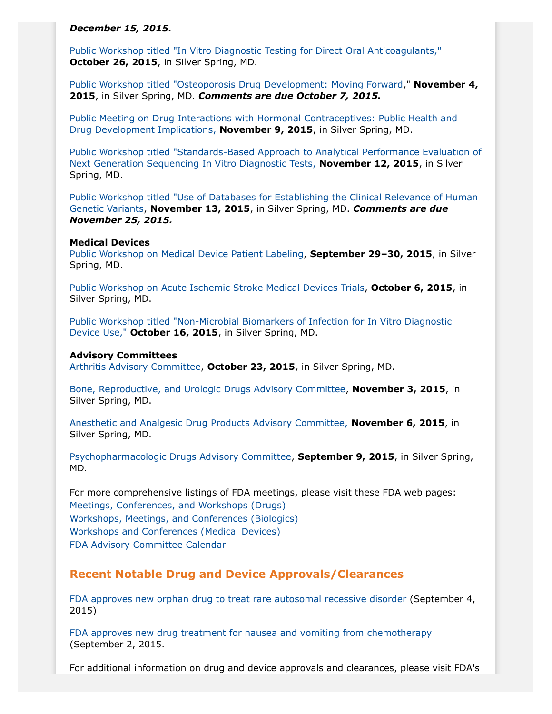#### *December 15, 2015.*

[Public Workshop titled "In Vitro Diagnostic Testing for Direct Oral Anticoagulants,"](http://www.gpo.gov/fdsys/pkg/FR-2015-08-26/pdf/2015-21095.pdf) **October 26, 2015**, in Silver Spring, MD.

[Public Workshop titled "Osteoporosis Drug Development: Moving Forward](http://www.gpo.gov/fdsys/pkg/FR-2015-09-10/pdf/2015-22784.pdf)," **November 4, 2015**, in Silver Spring, MD. *Comments are due October 7, 2015.*

[Public Meeting on Drug Interactions with Hormonal Contraceptives: Public Health and](http://www.gpo.gov/fdsys/pkg/FR-2015-09-11/pdf/2015-22949.pdf) [Drug Development Implications,](http://www.gpo.gov/fdsys/pkg/FR-2015-09-11/pdf/2015-22949.pdf) **November 9, 2015**, in Silver Spring, MD.

[Public Workshop titled "Standards-Based Approach to Analytical Performance Evaluation of](http://www.gpo.gov/fdsys/pkg/FR-2015-09-09/pdf/2015-22676.pdf) [Next Generation Sequencing In Vitro Diagnostic Tests,](http://www.gpo.gov/fdsys/pkg/FR-2015-09-09/pdf/2015-22676.pdf) **November 12, 2015**, in Silver Spring, MD.

[Public Workshop titled "Use of Databases for Establishing the Clinical Relevance of Human](http://www.gpo.gov/fdsys/pkg/FR-2015-09-09/pdf/2015-22675.pdf) [Genetic Variants,](http://www.gpo.gov/fdsys/pkg/FR-2015-09-09/pdf/2015-22675.pdf) **November 13, 2015**, in Silver Spring, MD. *Comments are due November 25, 2015.*

#### **Medical Devices**

[Public Workshop on Medical Device Patient Labeling,](http://www.fda.gov/MedicalDevices/NewsEvents/WorkshopsConferences/ucm455361.htm) **September 29–30, 2015**, in Silver Spring, MD.

[Public Workshop on Acute Ischemic Stroke Medical Devices Trials](http://www.fda.gov/MedicalDevices/NewsEvents/WorkshopsConferences/ucm452337.htm), **October 6, 2015**, in Silver Spring, MD.

[Public Workshop titled "Non-Microbial Biomarkers of Infection for In Vitro Diagnostic](http://www.fda.gov/MedicalDevices/NewsEvents/WorkshopsConferences/ucm448329.htm) [Device Use,"](http://www.fda.gov/MedicalDevices/NewsEvents/WorkshopsConferences/ucm448329.htm) **October 16, 2015**, in Silver Spring, MD.

#### **Advisory Committees**

[Arthritis Advisory Committee,](http://www.gpo.gov/fdsys/pkg/FR-2015-08-19/pdf/2015-20398.pdf) **October 23, 2015**, in Silver Spring, MD.

[Bone, Reproductive, and Urologic Drugs Advisory Committee,](http://www.gpo.gov/fdsys/pkg/FR-2015-08-20/pdf/2015-20540.pdf) **November 3, 2015**, in Silver Spring, MD.

[Anesthetic and Analgesic Drug Products Advisory Committee,](http://www.gpo.gov/fdsys/pkg/FR-2015-09-14/pdf/2015-22984.pdf) **November 6, 2015**, in Silver Spring, MD.

[Psychopharmacologic Drugs Advisory Committee](http://www.gpo.gov/fdsys/pkg/FR-2015-09-09/pdf/2015-22593.pdf), **September 9, 2015**, in Silver Spring, MD.

For more comprehensive listings of FDA meetings, please visit these FDA web pages: [Meetings, Conferences, and Workshops \(Drugs\)](http://www.fda.gov/drugs/newsevents/ucm132703.htm) [Workshops, Meetings, and Conferences \(Biologics\)](http://www.fda.gov/BiologicsBloodVaccines/NewsEvents/WorkshopsMeetingsConferences/ucm280422.htm) [Workshops and Conferences \(Medical Devices\)](http://www.fda.gov/MedicalDevices/NewsEvents/WorkshopsConferences/default.htm) [FDA Advisory Committee Calendar](http://www.fda.gov/AdvisoryCommittees/Calendar/default.htm)

### **Recent Notable Drug and Device Approvals/Clearances**

[FDA approves new orphan drug to treat rare autosomal recessive disorder](http://www.fda.gov/NewsEvents/Newsroom/PressAnnouncements/ucm457867.htm) (September 4, 2015)

[FDA approves new drug treatment for nausea and vomiting from chemotherapy](http://www.fda.gov/NewsEvents/Newsroom/PressAnnouncements/ucm460838.htm) (September 2, 2015.

For additional information on drug and device approvals and clearances, please visit FDA's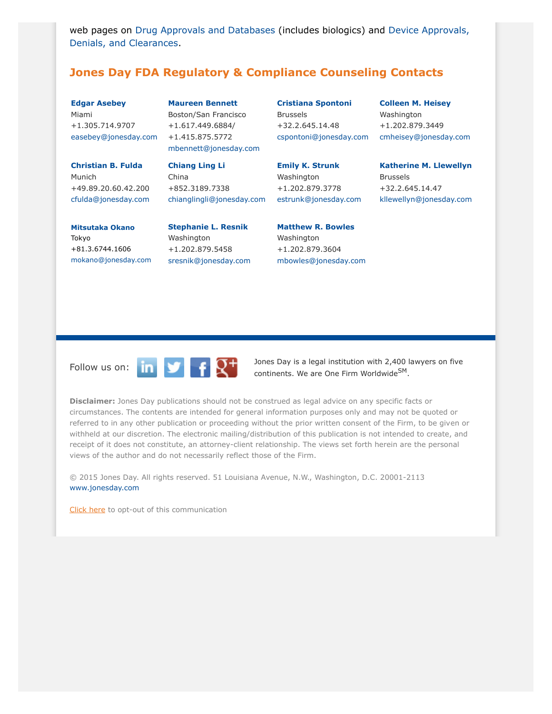web pages on [Drug Approvals and Databases](http://www.fda.gov/Drugs/InformationOnDrugs/) (includes biologics) and [Device Approvals,](http://www.fda.gov/medicaldevices/productsandmedicalprocedures/deviceapprovalsandclearances/default.htm) [Denials, and Clearances.](http://www.fda.gov/medicaldevices/productsandmedicalprocedures/deviceapprovalsandclearances/default.htm)

# <span id="page-6-0"></span>**Jones Day FDA Regulatory & Compliance Counseling Contacts**

**[Edgar Asebey](http://www.jonesday.com/easebey/)** Miami +1.305.714.9707 [easebey@jonesday.com](mailto:easebey@jonesday.com)

**[Christian B. Fulda](http://www.jonesday.com/cfulda/)** Munich +49.89.20.60.42.200 [cfulda@jonesday.com](mailto:cfulda@jonesday.com)

**[Maureen Bennett](http://www.jonesday.com/mbennett)** Boston/San Francisco +1.617.449.6884/ +1.415.875.5772 [mbennett@jonesday.com](mailto:mbennett@jonesday.com)

**[Chiang Ling Li](http://www.jonesday.com/chianglingli)** China +852.3189.7338 [chianglingli@jonesday.com](mailto:chianglingli@jonesday.com) **[Cristiana Spontoni](http://www.jonesday.com/cspontoni)** Brussels +32.2.645.14.48 [cspontoni@jonesday.com](mailto:cspontoni@jonesday.com)

**[Colleen M. Heisey](http://www.jonesday.com/cmheisey)** Washington +1.202.879.3449 [cmheisey@jonesday.com](mailto:cmheisey@jonesday.com)

**[Emily K. Strunk](http://www.jonesday.com/estrunk)** Washington +1.202.879.3778 [estrunk@jonesday.com](mailto:estrunk@jonesday.com) **[Katherine M. Llewellyn](http://www.jonesday.com/kllewellyn/)** Brussels +32.2.645.14.47

[kllewellyn@jonesday.com](mailto:kllewellyn@jonesday.com)

**[Mitsutaka Okano](http://www.jonesday.com/mokano)** Tokyo +81.3.6744.1606 [mokano@jonesday.com](mailto:mokano@jonesday.com) **[Stephanie L. Resnik](http://www.jonesday.com/sresnik)** Washington +1.202.879.5458

[sresnik@jonesday.com](mailto:sresnik@jonesday.com)

**[Matthew R. Bowles](http://www.jonesday.com/mbowles)** Washington +1.202.879.3604

[mbowles@jonesday.com](mailto:mbowles@jonesday.com)



Follow us on:  $\begin{array}{|c|c|c|c|c|}\n\hline\n\text{I} & \text{I} & \text{J} & \text{J} & \text{J} & \text{J} & \text{J} & \text{J} & \text{J} & \text{J} & \text{J} & \text{J} & \text{J} & \text{J} & \text{J} & \text{J} & \text{J} & \text{J} & \text{J} & \text{J} & \text{J} & \text{J} & \text{J} & \text{J} & \text{J} & \text{J} & \text{J} & \text{J} & \text{J} & \text{J} & \text{J$ continents. We are One Firm Worldwide<sup>SM</sup>.

**Disclaimer:** Jones Day publications should not be construed as legal advice on any specific facts or circumstances. The contents are intended for general information purposes only and may not be quoted or referred to in any other publication or proceeding without the prior written consent of the Firm, to be given or withheld at our discretion. The electronic mailing/distribution of this publication is not intended to create, and receipt of it does not constitute, an attorney-client relationship. The views set forth herein are the personal views of the author and do not necessarily reflect those of the Firm.

© 2015 Jones Day. All rights reserved. 51 Louisiana Avenue, N.W., Washington, D.C. 20001-2113 [www.jonesday.com](http://www.jonesday.com)

[Click here](http://thewritestuff.jonesday.com/ro/) to opt-out of this communication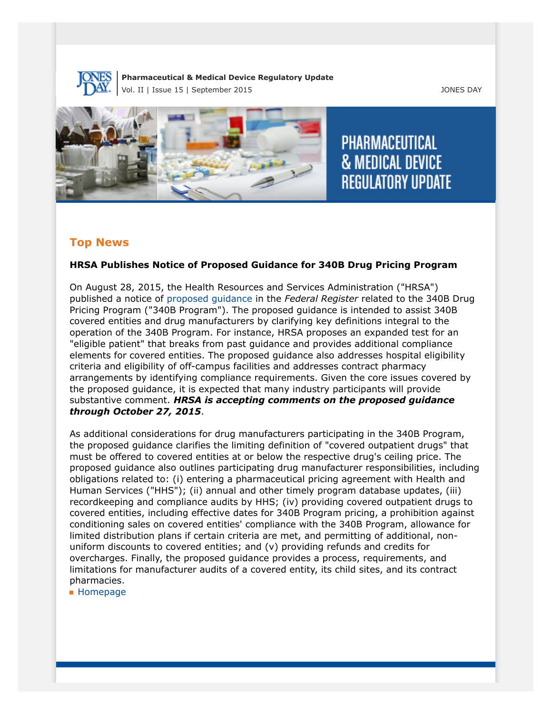

#### **Pharmaceutical & Medical Device Regulatory Update** Vol. II | Issue 15 | September 2015 JONES DAY



**PHARMACEUTICAL & MEDICAL DEVICE REGULATORY UPDATE** 

# **Top News**

# **HRSA Publishes Notice of Proposed Guidance for 340B Drug Pricing Program**

On August 28, 2015, the Health Resources and Services Administration ("HRSA") published a notice of [proposed guidance](http://www.gpo.gov/fdsys/pkg/FR-2015-08-28/pdf/2015-21246.pdf) in the *Federal Register* related to the 340B Drug Pricing Program ("340B Program"). The proposed guidance is intended to assist 340B covered entities and drug manufacturers by clarifying key definitions integral to the operation of the 340B Program. For instance, HRSA proposes an expanded test for an "eligible patient" that breaks from past guidance and provides additional compliance elements for covered entities. The proposed guidance also addresses hospital eligibility criteria and eligibility of off-campus facilities and addresses contract pharmacy arrangements by identifying compliance requirements. Given the core issues covered by the proposed guidance, it is expected that many industry participants will provide substantive comment. *HRSA is accepting comments on the proposed guidance through October 27, 2015*.

As additional considerations for drug manufacturers participating in the 340B Program, the proposed guidance clarifies the limiting definition of "covered outpatient drugs" that must be offered to covered entities at or below the respective drug's ceiling price. The proposed guidance also outlines participating drug manufacturer responsibilities, including obligations related to: (i) entering a pharmaceutical pricing agreement with Health and Human Services ("HHS"); (ii) annual and other timely program database updates, (iii) recordkeeping and compliance audits by HHS; (iv) providing covered outpatient drugs to covered entities, including effective dates for 340B Program pricing, a prohibition against conditioning sales on covered entities' compliance with the 340B Program, allowance for limited distribution plans if certain criteria are met, and permitting of additional, nonuniform discounts to covered entities; and (v) providing refunds and credits for overcharges. Finally, the proposed guidance provides a process, requirements, and limitations for manufacturer audits of a covered entity, its child sites, and its contract pharmacies.

**[Homepage](http://thewritestuff.jonesday.com/cv/7fcd73bdd3f2027a1c60258f68929dbceea843d5/p=0)**